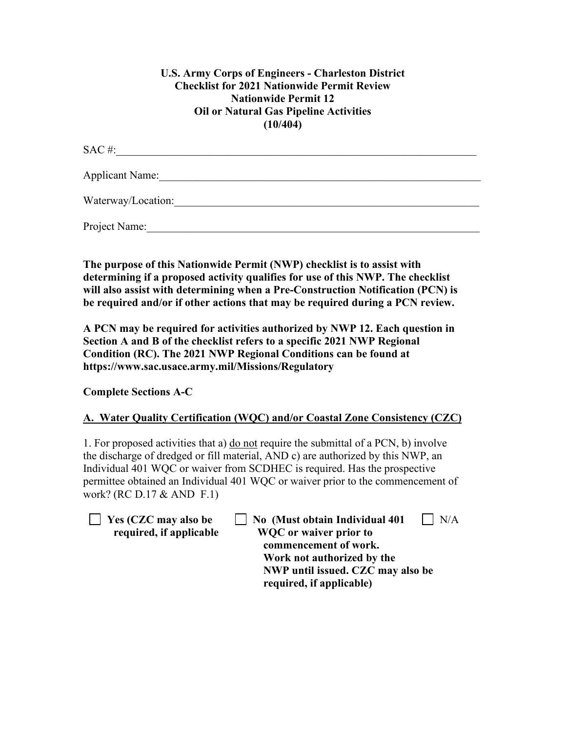### **U.S. Army Corps of Engineers - Charleston District Checklist for 2021 Nationwide Permit Review Nationwide Permit 12 Oil or Natural Gas Pipeline Activities (10/404)**

| SAC#:              |
|--------------------|
| Applicant Name:    |
| Waterway/Location: |
| Project Name:      |

**The purpose of this Nationwide Permit (NWP) checklist is to assist with determining if a proposed activity qualifies for use of this NWP. The checklist will also assist with determining when a Pre-Construction Notification (PCN) is be required and/or if other actions that may be required during a PCN review.**

**A PCN may be required for activities authorized by NWP 12. Each question in Section A and B of the checklist refers to a specific 2021 NWP Regional Condition (RC). The 2021 NWP Regional Conditions can be found at https://www.sac.usace.army.mil/Missions/Regulatory** 

**Complete Sections A-C** 

# **A. Water Quality Certification (WQC) and/or Coastal Zone Consistency (CZC)**

1. For proposed activities that a) do not require the submittal of a PCN, b) involve the discharge of dredged or fill material, AND c) are authorized by this NWP, an Individual 401 WQC or waiver from SCDHEC is required. Has the prospective permittee obtained an Individual 401 WQC or waiver prior to the commencement of work? (RC D.17 & AND F.1)

**The Ves (CZC may also be Also CAUSE 1)** No (Must obtain Individual 401 | N/A  **required, if applicable WQC or waiver prior to commencement of work. Work not authorized by the NWP until issued. CZC may also be required, if applicable)**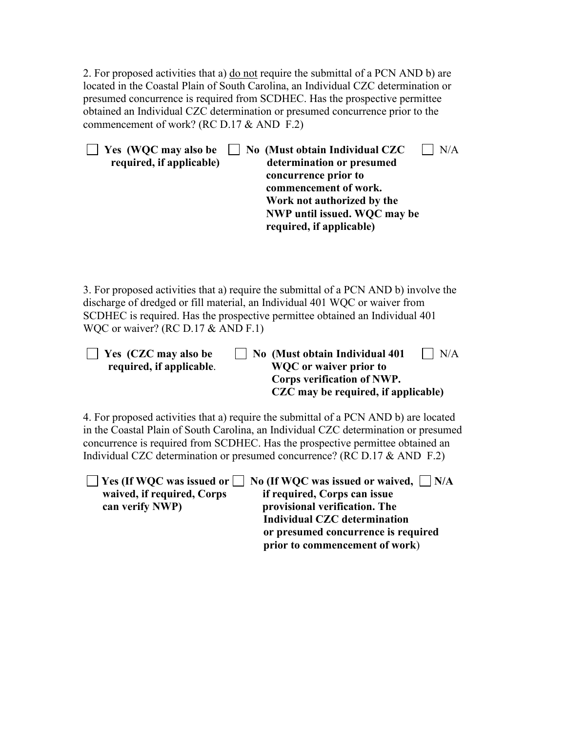2. For proposed activities that a) do not require the submittal of a PCN AND b) are located in the Coastal Plain of South Carolina, an Individual CZC determination or presumed concurrence is required from SCDHEC. Has the prospective permittee obtained an Individual CZC determination or presumed concurrence prior to the commencement of work? (RC D.17 & AND F.2)

| Yes (WQC may also be<br>required, if applicable)                                                                                                                                                                                                                                                                                           | No (Must obtain Individual CZC<br>N/A<br>determination or presumed<br>concurrence prior to<br>commencement of work.<br>Work not authorized by the<br>NWP until issued. WQC may be<br>required, if applicable) |  |  |
|--------------------------------------------------------------------------------------------------------------------------------------------------------------------------------------------------------------------------------------------------------------------------------------------------------------------------------------------|---------------------------------------------------------------------------------------------------------------------------------------------------------------------------------------------------------------|--|--|
| 3. For proposed activities that a) require the submittal of a PCN AND b) involve the<br>discharge of dredged or fill material, an Individual 401 WQC or waiver from<br>SCDHEC is required. Has the prospective permittee obtained an Individual 401<br>WQC or waiver? (RC D.17 & AND F.1)                                                  |                                                                                                                                                                                                               |  |  |
| Yes (CZC may also be<br>required, if applicable.                                                                                                                                                                                                                                                                                           | N/A<br>No (Must obtain Individual 401<br><b>WQC</b> or waiver prior to<br>Corps verification of NWP.<br>CZC may be required, if applicable)                                                                   |  |  |
| 4. For proposed activities that a) require the submittal of a PCN AND b) are located<br>in the Coastal Plain of South Carolina, an Individual CZC determination or presumed<br>concurrence is required from SCDHEC. Has the prospective permittee obtained an<br>Individual CZC determination or presumed concurrence? (RC D.17 & AND F.2) |                                                                                                                                                                                                               |  |  |
| Yes (If WQC was issued or $\Box$ No (If WQC was issued or waived, $\Box$ N/A<br>if required Corps can issue<br>waived if required Corns                                                                                                                                                                                                    |                                                                                                                                                                                                               |  |  |

waived, if required, Corps if required, Corps can issue<br>can verify NWP) **provisional verification**. The provisional verification. The  **Individual CZC determination or presumed concurrence is required prior to commencement of work**)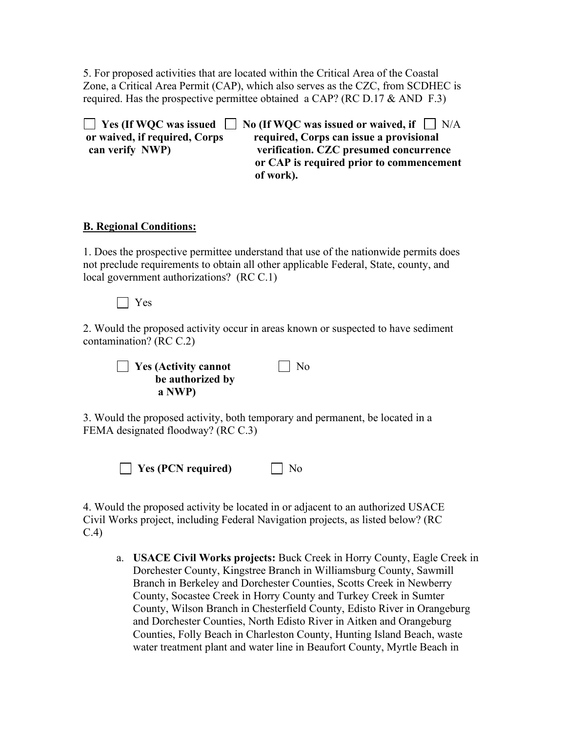5. For proposed activities that are located within the Critical Area of the Coastal Zone, a Critical Area Permit (CAP), which also serves as the CZC, from SCDHEC is required. Has the prospective permittee obtained a CAP? (RC D.17  $\&$  AND F.3)

**T** Yes (If WOC was issued **No** (If WOC was issued or waived, if  $\Box$  N/A **or waived, if required, Corps required, Corps can issue a provisional can verify NWP) verification. CZC presumed concurrence or CAP is required prior to commencement of work).**

#### **B. Regional Conditions:**

1. Does the prospective permittee understand that use of the nationwide permits does not preclude requirements to obtain all other applicable Federal, State, county, and local government authorizations? (RC C.1)

Yes

2. Would the proposed activity occur in areas known or suspected to have sediment contamination? (RC C.2)

**T** Yes (Activity cannot **No be authorized by a NWP)** 

3. Would the proposed activity, both temporary and permanent, be located in a FEMA designated floodway? (RC C.3)

 $\Box$  **Yes** (PCN required)  $\Box$  No

4. Would the proposed activity be located in or adjacent to an authorized USACE Civil Works project, including Federal Navigation projects, as listed below? (RC C.4)

a. **USACE Civil Works projects:** Buck Creek in Horry County, Eagle Creek in Dorchester County, Kingstree Branch in Williamsburg County, Sawmill Branch in Berkeley and Dorchester Counties, Scotts Creek in Newberry County, Socastee Creek in Horry County and Turkey Creek in Sumter County, Wilson Branch in Chesterfield County, Edisto River in Orangeburg and Dorchester Counties, North Edisto River in Aitken and Orangeburg Counties, Folly Beach in Charleston County, Hunting Island Beach, waste water treatment plant and water line in Beaufort County, Myrtle Beach in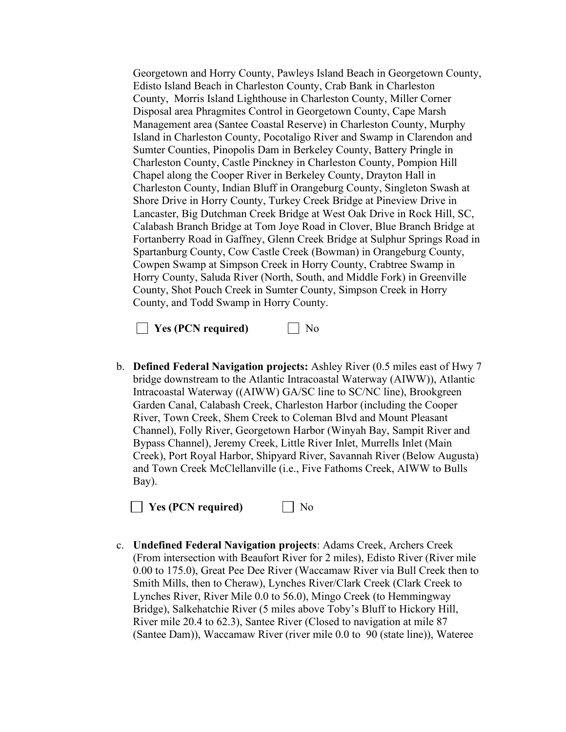Georgetown and Horry County, Pawleys Island Beach in Georgetown County, Edisto Island Beach in Charleston County, Crab Bank in Charleston County, Morris Island Lighthouse in Charleston County, Miller Corner Disposal area Phragmites Control in Georgetown County, Cape Marsh Management area (Santee Coastal Reserve) in Charleston County, Murphy Island in Charleston County, Pocotaligo River and Swamp in Clarendon and Sumter Counties, Pinopolis Dam in Berkeley County, Battery Pringle in Charleston County, Castle Pinckney in Charleston County, Pompion Hill Chapel along the Cooper River in Berkeley County, Drayton Hall in Charleston County, Indian Bluff in Orangeburg County, Singleton Swash at Shore Drive in Horry County, Turkey Creek Bridge at Pineview Drive in Lancaster, Big Dutchman Creek Bridge at West Oak Drive in Rock Hill, SC, Calabash Branch Bridge at Tom Joye Road in Clover, Blue Branch Bridge at Fortanberry Road in Gaffney, Glenn Creek Bridge at Sulphur Springs Road in Spartanburg County, Cow Castle Creek (Bowman) in Orangeburg County, Cowpen Swamp at Simpson Creek in Horry County, Crabtree Swamp in Horry County, Saluda River (North, South, and Middle Fork) in Greenville County, Shot Pouch Creek in Sumter County, Simpson Creek in Horry County, and Todd Swamp in Horry County.



b. **Defined Federal Navigation projects:** Ashley River (0.5 miles east of Hwy 7 bridge downstream to the Atlantic Intracoastal Waterway (AIWW)), Atlantic Intracoastal Waterway ((AIWW) GA/SC line to SC/NC line), Brookgreen Garden Canal, Calabash Creek, Charleston Harbor (including the Cooper River, Town Creek, Shem Creek to Coleman Blvd and Mount Pleasant Channel), Folly River, Georgetown Harbor (Winyah Bay, Sampit River and Bypass Channel), Jeremy Creek, Little River Inlet, Murrells Inlet (Main Creek), Port Royal Harbor, Shipyard River, Savannah River (Below Augusta) and Town Creek McClellanville (i.e., Five Fathoms Creek, AIWW to Bulls Bay).

**No** Yes (PCN required) Mo

c. **Undefined Federal Navigation projects**: Adams Creek, Archers Creek (From intersection with Beaufort River for 2 miles), Edisto River (River mile 0.00 to 175.0), Great Pee Dee River (Waccamaw River via Bull Creek then to Smith Mills, then to Cheraw), Lynches River/Clark Creek (Clark Creek to Lynches River, River Mile 0.0 to 56.0), Mingo Creek (to Hemmingway Bridge), Salkehatchie River (5 miles above Toby's Bluff to Hickory Hill, River mile 20.4 to 62.3), Santee River (Closed to navigation at mile 87 (Santee Dam)), Waccamaw River (river mile 0.0 to 90 (state line)), Wateree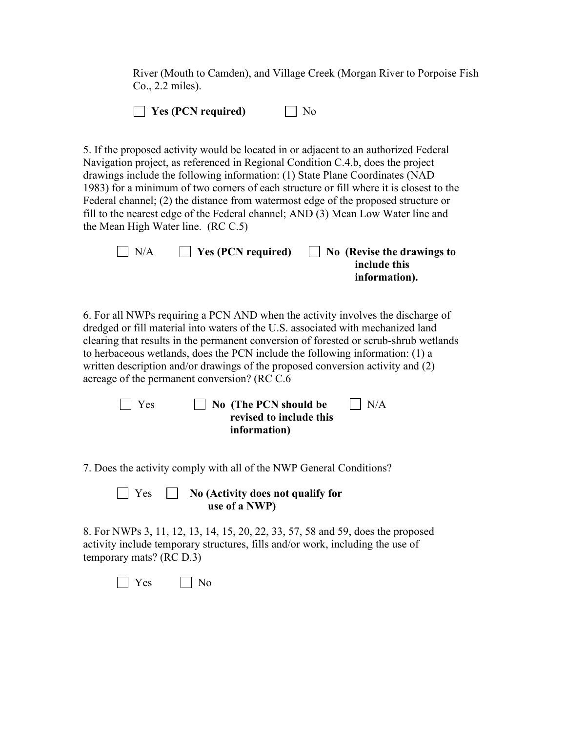River (Mouth to Camden), and Village Creek (Morgan River to Porpoise Fish Co., 2.2 miles).

|  | $\Box$ Yes (PCN required) | $\Box$ No |
|--|---------------------------|-----------|
|--|---------------------------|-----------|

5. If the proposed activity would be located in or adjacent to an authorized Federal Navigation project, as referenced in Regional Condition C.4.b, does the project drawings include the following information: (1) State Plane Coordinates (NAD 1983) for a minimum of two corners of each structure or fill where it is closest to the Federal channel; (2) the distance from watermost edge of the proposed structure or fill to the nearest edge of the Federal channel; AND (3) Mean Low Water line and the Mean High Water line. (RC C.5)

| $\big $ N/A | $\vert$ Yes (PCN required) | $\vert$ No (Revise the drawings to |
|-------------|----------------------------|------------------------------------|
|             |                            | include this                       |
|             |                            | information).                      |

6. For all NWPs requiring a PCN AND when the activity involves the discharge of dredged or fill material into waters of the U.S. associated with mechanized land clearing that results in the permanent conversion of forested or scrub-shrub wetlands to herbaceous wetlands, does the PCN include the following information: (1) a written description and/or drawings of the proposed conversion activity and (2) acreage of the permanent conversion? (RC C.6

| $\Box$ Yes | $\vert$ $\vert$ No (The PCN should be | $\Box$ N/A |
|------------|---------------------------------------|------------|
|            | revised to include this               |            |
|            | information)                          |            |

7. Does the activity comply with all of the NWP General Conditions?

#### Yes **No (Activity does not qualify for use of a NWP)**

8. For NWPs 3, 11, 12, 13, 14, 15, 20, 22, 33, 57, 58 and 59, does the proposed activity include temporary structures, fills and/or work, including the use of temporary mats? (RC D.3)

 $\bigcap$  Yes  $\bigcap$  No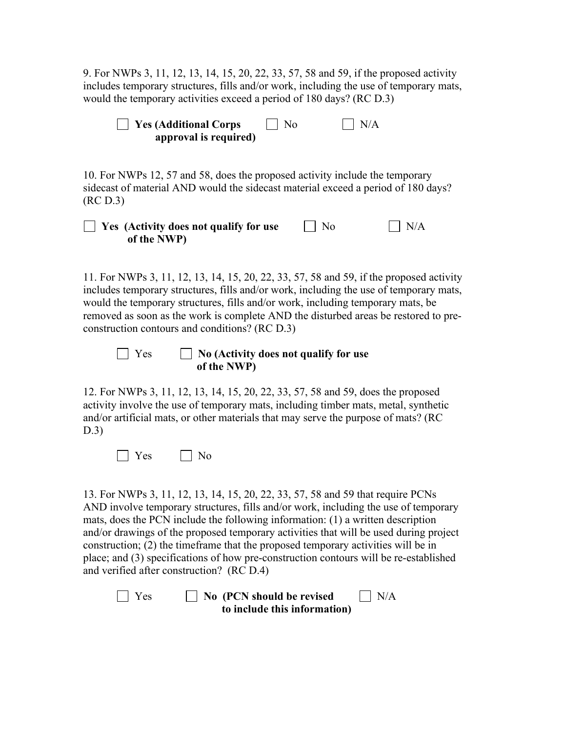9. For NWPs 3, 11, 12, 13, 14, 15, 20, 22, 33, 57, 58 and 59, if the proposed activity includes temporary structures, fills and/or work, including the use of temporary mats, would the temporary activities exceed a period of 180 days? (RC D.3)

| $\Box$ Yes (Additional Corps | $\vert$   No | $\Box$ N/A |
|------------------------------|--------------|------------|
| approval is required)        |              |            |

10. For NWPs 12, 57 and 58, does the proposed activity include the temporary sidecast of material AND would the sidecast material exceed a period of 180 days? (RC D.3)

| $\Box$ Yes (Activity does not qualify for use | $\vert$   No | $\bigcap$ N/A |
|-----------------------------------------------|--------------|---------------|
| of the NWP)                                   |              |               |

11. For NWPs 3, 11, 12, 13, 14, 15, 20, 22, 33, 57, 58 and 59, if the proposed activity includes temporary structures, fills and/or work, including the use of temporary mats, would the temporary structures, fills and/or work, including temporary mats, be removed as soon as the work is complete AND the disturbed areas be restored to preconstruction contours and conditions? (RC D.3)

## Yes **No (Activity does not qualify for use of the NWP)**

12. For NWPs 3, 11, 12, 13, 14, 15, 20, 22, 33, 57, 58 and 59, does the proposed activity involve the use of temporary mats, including timber mats, metal, synthetic and/or artificial mats, or other materials that may serve the purpose of mats? (RC D.3)

No No

13. For NWPs 3, 11, 12, 13, 14, 15, 20, 22, 33, 57, 58 and 59 that require PCNs AND involve temporary structures, fills and/or work, including the use of temporary mats, does the PCN include the following information: (1) a written description and/or drawings of the proposed temporary activities that will be used during project construction; (2) the timeframe that the proposed temporary activities will be in place; and (3) specifications of how pre-construction contours will be re-established and verified after construction? (RC D.4)

 $\Box$  Yes  $\Box$  No (PCN should be revised  $\Box$  N/A **to include this information)**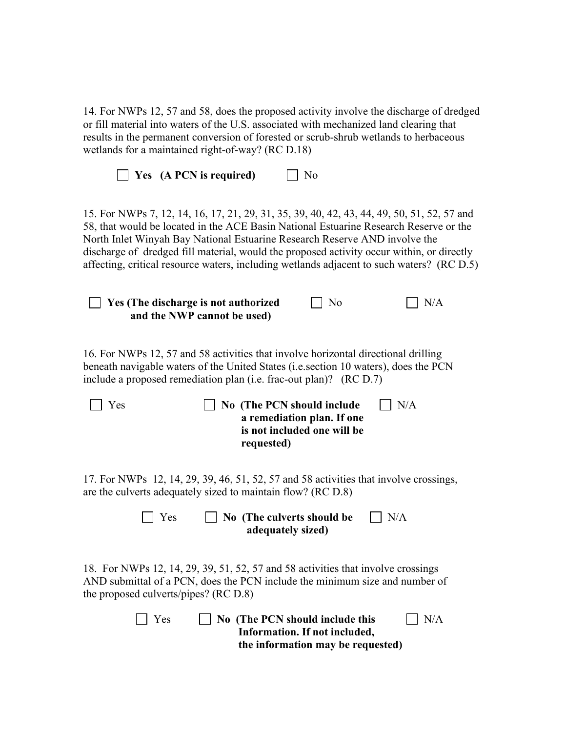| 14. For NWPs 12, 57 and 58, does the proposed activity involve the discharge of dredged<br>or fill material into waters of the U.S. associated with mechanized land clearing that<br>results in the permanent conversion of forested or scrub-shrub wetlands to herbaceous<br>wetlands for a maintained right-of-way? (RC D.18)                                                                                                                             |  |  |  |
|-------------------------------------------------------------------------------------------------------------------------------------------------------------------------------------------------------------------------------------------------------------------------------------------------------------------------------------------------------------------------------------------------------------------------------------------------------------|--|--|--|
| Yes (A PCN is required)<br>N <sub>o</sub>                                                                                                                                                                                                                                                                                                                                                                                                                   |  |  |  |
| 15. For NWPs 7, 12, 14, 16, 17, 21, 29, 31, 35, 39, 40, 42, 43, 44, 49, 50, 51, 52, 57 and<br>58, that would be located in the ACE Basin National Estuarine Research Reserve or the<br>North Inlet Winyah Bay National Estuarine Research Reserve AND involve the<br>discharge of dredged fill material, would the proposed activity occur within, or directly<br>affecting, critical resource waters, including wetlands adjacent to such waters? (RC D.5) |  |  |  |
| Yes (The discharge is not authorized<br>N/A<br>No<br>and the NWP cannot be used)                                                                                                                                                                                                                                                                                                                                                                            |  |  |  |
| 16. For NWPs 12, 57 and 58 activities that involve horizontal directional drilling<br>beneath navigable waters of the United States (i.e. section 10 waters), does the PCN<br>include a proposed remediation plan (i.e. frac-out plan)? (RC D.7)                                                                                                                                                                                                            |  |  |  |
| No (The PCN should include<br>N/A<br>Yes<br>a remediation plan. If one<br>is not included one will be<br>requested)                                                                                                                                                                                                                                                                                                                                         |  |  |  |
| 17. For NWPs 12, 14, 29, 39, 46, 51, 52, 57 and 58 activities that involve crossings,<br>are the culverts adequately sized to maintain flow? (RC D.8)                                                                                                                                                                                                                                                                                                       |  |  |  |
| No (The culverts should be<br>$\Box$ Yes<br>N/A<br>adequately sized)                                                                                                                                                                                                                                                                                                                                                                                        |  |  |  |
| 18. For NWPs 12, 14, 29, 39, 51, 52, 57 and 58 activities that involve crossings<br>AND submittal of a PCN, does the PCN include the minimum size and number of<br>the proposed culverts/pipes? (RC D.8)                                                                                                                                                                                                                                                    |  |  |  |
| No (The PCN should include this<br>N/A<br>Yes<br>Information. If not included,<br>the information may be requested)                                                                                                                                                                                                                                                                                                                                         |  |  |  |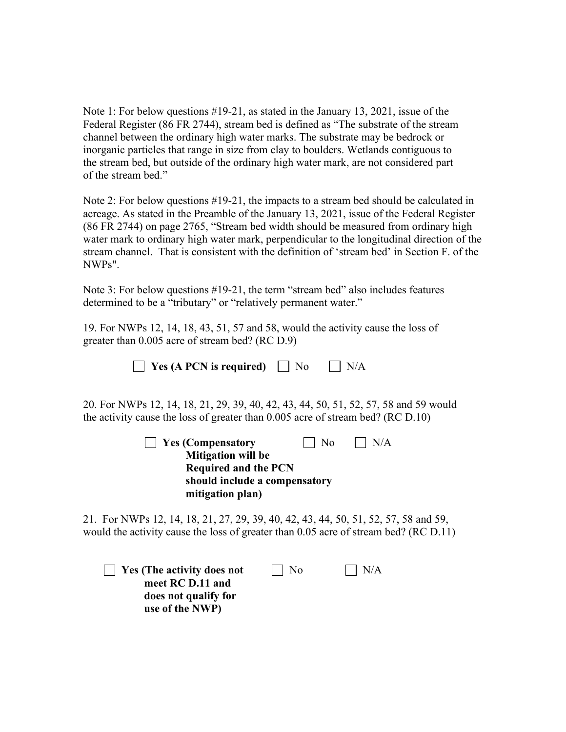Note 1: For below questions #19-21, as stated in the January 13, 2021, issue of the Federal Register (86 FR 2744), stream bed is defined as "The substrate of the stream channel between the ordinary high water marks. The substrate may be bedrock or inorganic particles that range in size from clay to boulders. Wetlands contiguous to the stream bed, but outside of the ordinary high water mark, are not considered part of the stream bed."

Note 2: For below questions #19-21, the impacts to a stream bed should be calculated in acreage. As stated in the Preamble of the January 13, 2021, issue of the Federal Register (86 FR 2744) on page 2765, "Stream bed width should be measured from ordinary high water mark to ordinary high water mark, perpendicular to the longitudinal direction of the stream channel. That is consistent with the definition of 'stream bed' in Section F. of the NWPs".

Note 3: For below questions #19-21, the term "stream bed" also includes features determined to be a "tributary" or "relatively permanent water."

19. For NWPs 12, 14, 18, 43, 51, 57 and 58, would the activity cause the loss of greater than 0.005 acre of stream bed? (RC D.9)

 $\Box$  **Yes (A PCN is required)**  $\Box$  No  $\Box$  N/A

20. For NWPs 12, 14, 18, 21, 29, 39, 40, 42, 43, 44, 50, 51, 52, 57, 58 and 59 would the activity cause the loss of greater than 0.005 acre of stream bed? (RC D.10)

| $\vert$ Yes (Compensatory     | $\vert$   No | $\vert$ $\vert$ N/A |
|-------------------------------|--------------|---------------------|
| <b>Mitigation will be</b>     |              |                     |
| <b>Required and the PCN</b>   |              |                     |
| should include a compensatory |              |                     |
| mitigation plan)              |              |                     |

21. For NWPs 12, 14, 18, 21, 27, 29, 39, 40, 42, 43, 44, 50, 51, 52, 57, 58 and 59, would the activity cause the loss of greater than 0.05 acre of stream bed? (RC D.11)

**Yes (The activity does not**  $\Box$  No  $\Box$  N/A **meet RC D.11 and does not qualify for use of the NWP)**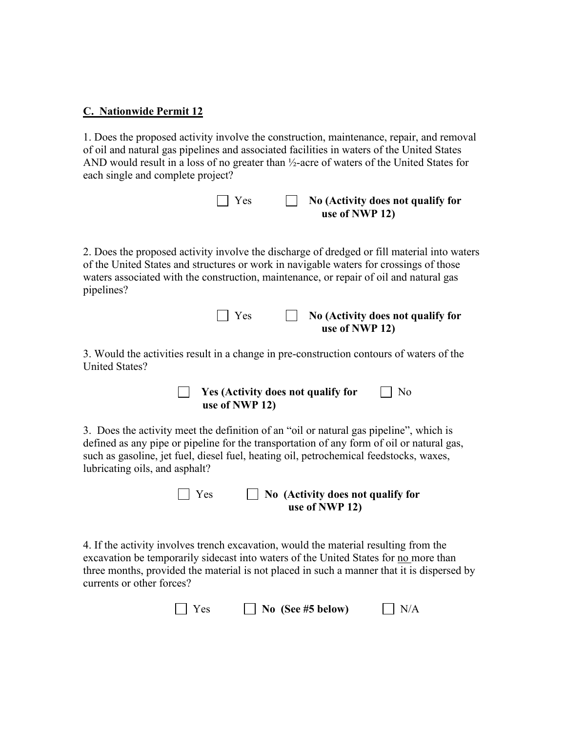#### **C. Nationwide Permit 12**

1. Does the proposed activity involve the construction, maintenance, repair, and removal of oil and natural gas pipelines and associated facilities in waters of the United States AND would result in a loss of no greater than ½-acre of waters of the United States for each single and complete project?

| $\Box$ Yes | $\Box$ No (Activity does not qualify for |
|------------|------------------------------------------|
|            | use of NWP 12)                           |

2. Does the proposed activity involve the discharge of dredged or fill material into waters of the United States and structures or work in navigable waters for crossings of those waters associated with the construction, maintenance, or repair of oil and natural gas pipelines?

| $\vert \vert$ Yes | $\Box$ No (Activity does not qualify for |
|-------------------|------------------------------------------|
|                   | use of NWP 12)                           |

3. Would the activities result in a change in pre-construction contours of waters of the United States?



3. Does the activity meet the definition of an "oil or natural gas pipeline", which is defined as any pipe or pipeline for the transportation of any form of oil or natural gas, such as gasoline, jet fuel, diesel fuel, heating oil, petrochemical feedstocks, waxes, lubricating oils, and asphalt?

 Yes **No (Activity does not qualify for use of NWP 12)** 

4. If the activity involves trench excavation, would the material resulting from the excavation be temporarily sidecast into waters of the United States for no more than three months, provided the material is not placed in such a manner that it is dispersed by currents or other forces?

| $\Box$ Yes | $\Box$ No (See #5 below) | N/A |
|------------|--------------------------|-----|
|------------|--------------------------|-----|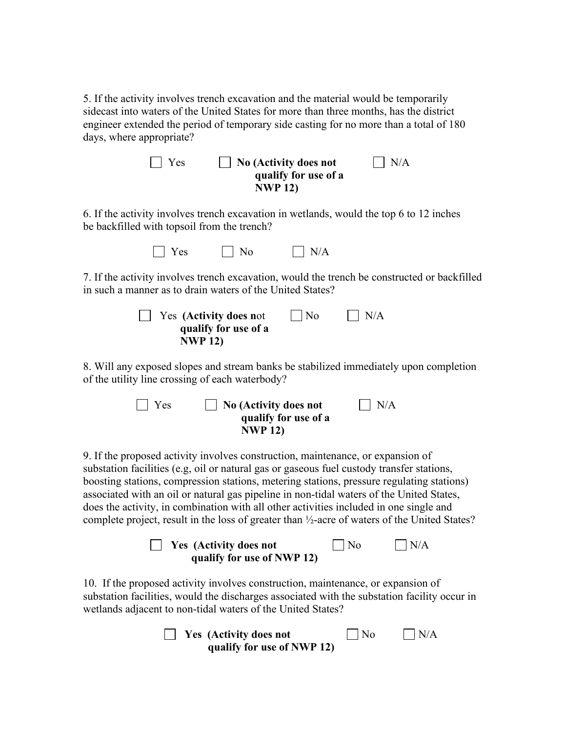5. If the activity involves trench excavation and the material would be temporarily sidecast into waters of the United States for more than three months, has the district engineer extended the period of temporary side casting for no more than a total of 180 days, where appropriate?

| $\vert$ Yes | $\Box$ No (Activity does not | N/A |
|-------------|------------------------------|-----|
|             | qualify for use of a         |     |
|             | <b>NWP 12)</b>               |     |

6. If the activity involves trench excavation in wetlands, would the top 6 to 12 inches be backfilled with topsoil from the trench?

 $\Box$  Yes  $\Box$  No  $\Box$  N/A

7. If the activity involves trench excavation, would the trench be constructed or backfilled in such a manner as to drain waters of the United States?

| $\vert$ Yes (Activity does not | $\vert$   No | $\vert$ $\vert$ N/A |
|--------------------------------|--------------|---------------------|
| qualify for use of a           |              |                     |
| <b>NWP 12)</b>                 |              |                     |

8. Will any exposed slopes and stream banks be stabilized immediately upon completion of the utility line crossing of each waterbody?

| $\vert$   Yes | $\Box$ No (Activity does not | $\overline{\rm N/A}$ |
|---------------|------------------------------|----------------------|
|               | qualify for use of a         |                      |
|               | <b>NWP 12)</b>               |                      |

9. If the proposed activity involves construction, maintenance, or expansion of substation facilities (e.g, oil or natural gas or gaseous fuel custody transfer stations, boosting stations, compression stations, metering stations, pressure regulating stations) associated with an oil or natural gas pipeline in non-tidal waters of the United States, does the activity, in combination with all other activities included in one single and complete project, result in the loss of greater than ½-acre of waters of the United States?

| <b>Yes</b> (Activity does not | $\overline{N}$ | $\big $ N/A |
|-------------------------------|----------------|-------------|
| qualify for use of NWP 12)    |                |             |

10. If the proposed activity involves construction, maintenance, or expansion of substation facilities, would the discharges associated with the substation facility occur in wetlands adjacent to non-tidal waters of the United States?

| $\Box$ Yes (Activity does not | $\Box$ No | $\Box$ N/A |
|-------------------------------|-----------|------------|
| qualify for use of NWP 12)    |           |            |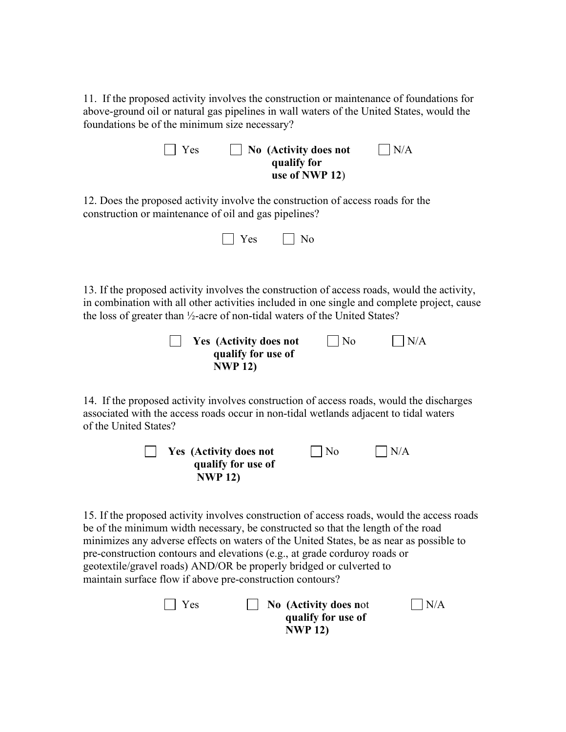11. If the proposed activity involves the construction or maintenance of foundations for above-ground oil or natural gas pipelines in wall waters of the United States, would the foundations be of the minimum size necessary?

| $\vert$ Yes | $\vert$ No (Activity does not | $\vert$ $\vert$ N/A |
|-------------|-------------------------------|---------------------|
|             | qualify for                   |                     |
|             | use of NWP 12)                |                     |

12. Does the proposed activity involve the construction of access roads for the construction or maintenance of oil and gas pipelines?

| Yes<br>No                                                                                                                                                                                                                                                                                                                                                                                                                                                                                   |  |  |  |
|---------------------------------------------------------------------------------------------------------------------------------------------------------------------------------------------------------------------------------------------------------------------------------------------------------------------------------------------------------------------------------------------------------------------------------------------------------------------------------------------|--|--|--|
| 13. If the proposed activity involves the construction of access roads, would the activity,<br>in combination with all other activities included in one single and complete project, cause<br>the loss of greater than 1/2-acre of non-tidal waters of the United States?<br>No<br>N/A<br>Yes (Activity does not<br>qualify for use of<br><b>NWP 12)</b>                                                                                                                                    |  |  |  |
| 14. If the proposed activity involves construction of access roads, would the discharges<br>associated with the access roads occur in non-tidal wetlands adjacent to tidal waters<br>of the United States?<br>N/A<br><b>Yes</b> (Activity does not<br>No                                                                                                                                                                                                                                    |  |  |  |
| qualify for use of<br><b>NWP 12)</b>                                                                                                                                                                                                                                                                                                                                                                                                                                                        |  |  |  |
| 15. If the proposed activity involves construction of access roads, would the access roads<br>be of the minimum width necessary, be constructed so that the length of the road<br>minimizes any adverse effects on waters of the United States, be as near as possible to<br>pre-construction contours and elevations (e.g., at grade corduroy roads or<br>geotextile/gravel roads) AND/OR be properly bridged or culverted to<br>maintain surface flow if above pre-construction contours? |  |  |  |
| Yes<br>N/A<br>No (Activity does not<br>qualify for use of                                                                                                                                                                                                                                                                                                                                                                                                                                   |  |  |  |

 **NWP 12)**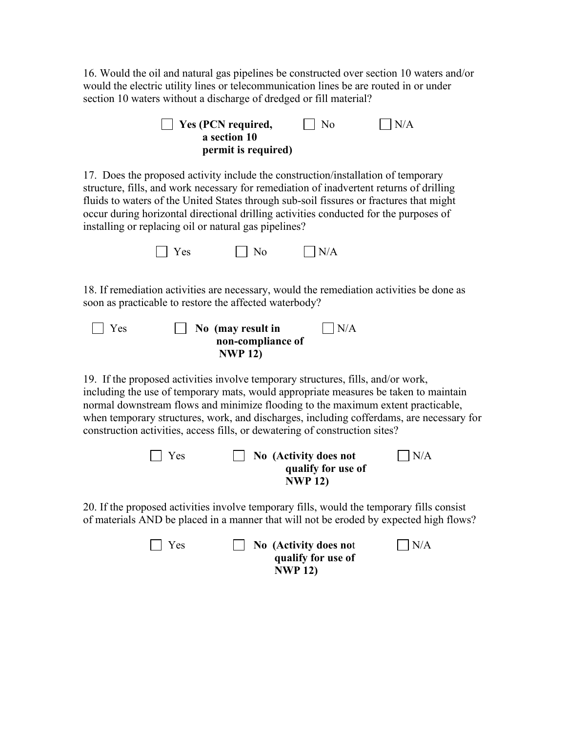16. Would the oil and natural gas pipelines be constructed over section 10 waters and/or would the electric utility lines or telecommunication lines be are routed in or under section 10 waters without a discharge of dredged or fill material?

| Yes (PCN required,<br>a section 10<br>permit is required)                                                                                                                                                                                                                                                                                                                                                                               | No                                                            | N/A |
|-----------------------------------------------------------------------------------------------------------------------------------------------------------------------------------------------------------------------------------------------------------------------------------------------------------------------------------------------------------------------------------------------------------------------------------------|---------------------------------------------------------------|-----|
| 17. Does the proposed activity include the construction/installation of temporary<br>structure, fills, and work necessary for remediation of inadvertent returns of drilling<br>fluids to waters of the United States through sub-soil fissures or fractures that might<br>occur during horizontal directional drilling activities conducted for the purposes of<br>installing or replacing oil or natural gas pipelines?               |                                                               |     |
| Yes<br>No                                                                                                                                                                                                                                                                                                                                                                                                                               | N/A                                                           |     |
| 18. If remediation activities are necessary, would the remediation activities be done as<br>soon as practicable to restore the affected waterbody?<br>Yes<br>No (may result in<br>non-compliance of<br><b>NWP 12)</b>                                                                                                                                                                                                                   | N/A                                                           |     |
| 19. If the proposed activities involve temporary structures, fills, and/or work,<br>including the use of temporary mats, would appropriate measures be taken to maintain<br>normal downstream flows and minimize flooding to the maximum extent practicable,<br>when temporary structures, work, and discharges, including cofferdams, are necessary for<br>construction activities, access fills, or dewatering of construction sites? |                                                               |     |
| Yes                                                                                                                                                                                                                                                                                                                                                                                                                                     | No (Activity does not<br>qualify for use of<br><b>NWP 12)</b> | N/A |
| 20. If the proposed activities involve temporary fills, would the temporary fills consist<br>of materials AND be placed in a manner that will not be eroded by expected high flows?                                                                                                                                                                                                                                                     |                                                               |     |
| Yes                                                                                                                                                                                                                                                                                                                                                                                                                                     | No (Activity does not<br>qualify for use of                   | N/A |

 **NWP 12)**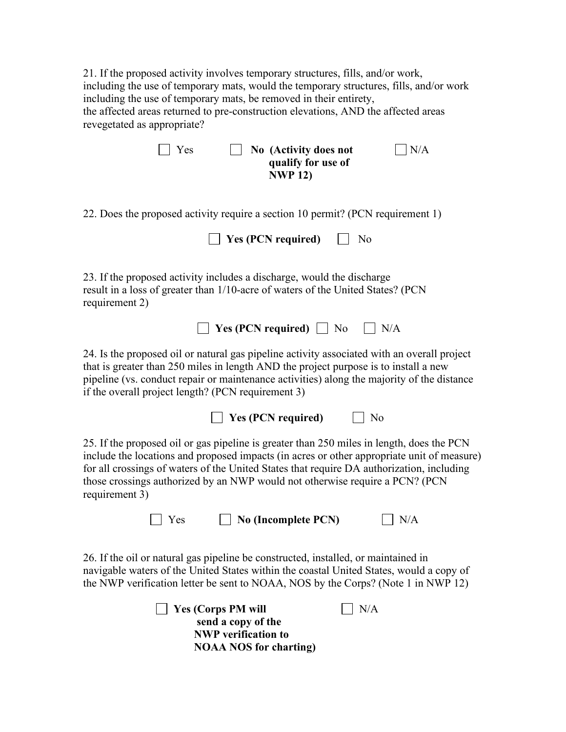21. If the proposed activity involves temporary structures, fills, and/or work, including the use of temporary mats, would the temporary structures, fills, and/or work including the use of temporary mats, be removed in their entirety, the affected areas returned to pre-construction elevations, AND the affected areas revegetated as appropriate?

| No (Activity does not<br>N/A<br>Yes<br>qualify for use of<br><b>NWP 12)</b>                                                                                                                                                                                                                                                                                                            |
|----------------------------------------------------------------------------------------------------------------------------------------------------------------------------------------------------------------------------------------------------------------------------------------------------------------------------------------------------------------------------------------|
| 22. Does the proposed activity require a section 10 permit? (PCN requirement 1)                                                                                                                                                                                                                                                                                                        |
| <b>Yes (PCN required)</b><br>No                                                                                                                                                                                                                                                                                                                                                        |
| 23. If the proposed activity includes a discharge, would the discharge<br>result in a loss of greater than 1/10-acre of waters of the United States? (PCN<br>requirement 2)                                                                                                                                                                                                            |
| $\blacksquare$ Yes (PCN required) $\blacksquare$ No<br>$\vert$ $\vert$ N/A                                                                                                                                                                                                                                                                                                             |
| 24. Is the proposed oil or natural gas pipeline activity associated with an overall project<br>that is greater than 250 miles in length AND the project purpose is to install a new<br>pipeline (vs. conduct repair or maintenance activities) along the majority of the distance<br>if the overall project length? (PCN requirement 3)                                                |
| $\vert$ Yes (PCN required)<br>No                                                                                                                                                                                                                                                                                                                                                       |
| 25. If the proposed oil or gas pipeline is greater than 250 miles in length, does the PCN<br>include the locations and proposed impacts (in acres or other appropriate unit of measure)<br>for all crossings of waters of the United States that require DA authorization, including<br>those crossings authorized by an NWP would not otherwise require a PCN? (PCN<br>requirement 3) |
| Yes<br>$\Box$ No (Incomplete PCN)<br>N/A                                                                                                                                                                                                                                                                                                                                               |
| 26. If the oil or natural gas pipeline be constructed, installed, or maintained in<br>navigable waters of the United States within the coastal United States, would a copy of<br>the NWP verification letter be sent to NOAA, NOS by the Corps? (Note 1 in NWP 12)                                                                                                                     |
| <b>Yes (Corps PM will</b><br>N/A                                                                                                                                                                                                                                                                                                                                                       |

 **send a copy of the NWP verification to NOAA NOS for charting)**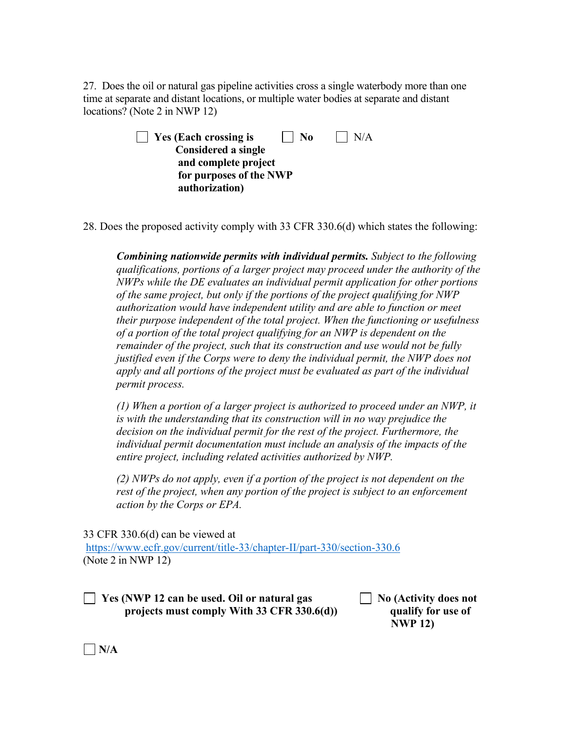27. Does the oil or natural gas pipeline activities cross a single waterbody more than one time at separate and distant locations, or multiple water bodies at separate and distant locations? (Note 2 in NWP 12)

| $\vert$ Yes (Each crossing is<br>$\mathbf{I}$   No | $\vert$   N/A |
|----------------------------------------------------|---------------|
| <b>Considered a single</b>                         |               |
| and complete project                               |               |
| for purposes of the NWP                            |               |
| authorization)                                     |               |

28. Does the proposed activity comply with 33 CFR 330.6(d) which states the following:

*Combining nationwide permits with individual permits. Subject to the following qualifications, portions of a larger project may proceed under the authority of the NWPs while the DE evaluates an individual permit application for other portions of the same project, but only if the portions of the project qualifying for NWP authorization would have independent utility and are able to function or meet their purpose independent of the total project. When the functioning or usefulness of a portion of the total project qualifying for an NWP is dependent on the remainder of the project, such that its construction and use would not be fully justified even if the Corps were to deny the individual permit, the NWP does not apply and all portions of the project must be evaluated as part of the individual permit process.* 

*(1) When a portion of a larger project is authorized to proceed under an NWP, it is with the understanding that its construction will in no way prejudice the decision on the individual permit for the rest of the project. Furthermore, the individual permit documentation must include an analysis of the impacts of the entire project, including related activities authorized by NWP.* 

*(2) NWPs do not apply, even if a portion of the project is not dependent on the rest of the project, when any portion of the project is subject to an enforcement action by the Corps or EPA.* 

33 CFR 330.6(d) can be viewed at

<https://www.ecfr.gov/current/title-33/chapter-II/part-330/section-330.6> (Note 2 in NWP 12)

 **Yes (NWP 12 can be used. Oil or natural gas No (Activity does not projects must comply With 33 CFR 330.6(d)) qualify for use of** 

 **NWP 12)** 

**N/A**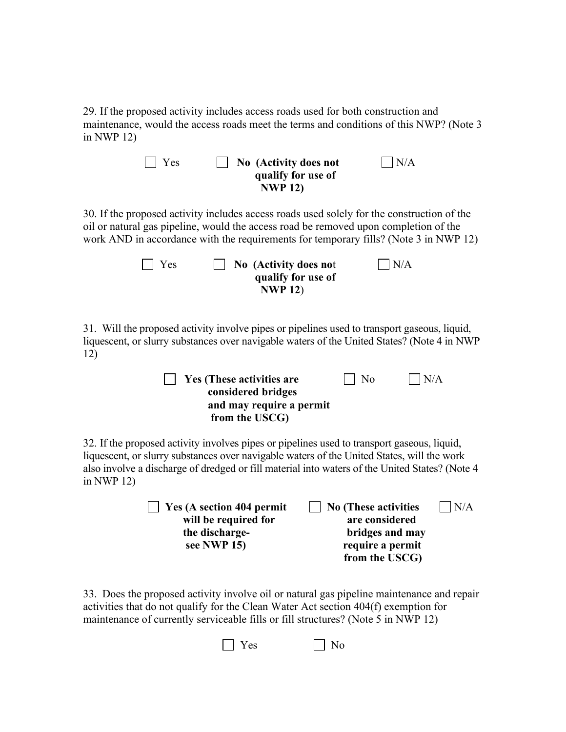29. If the proposed activity includes access roads used for both construction and maintenance, would the access roads meet the terms and conditions of this NWP? (Note 3 in NWP 12)

| N/A<br>Yes<br>No (Activity does not<br>qualify for use of<br><b>NWP 12)</b>                                                                                                                                                                                                                                 |  |  |
|-------------------------------------------------------------------------------------------------------------------------------------------------------------------------------------------------------------------------------------------------------------------------------------------------------------|--|--|
| 30. If the proposed activity includes access roads used solely for the construction of the<br>oil or natural gas pipeline, would the access road be removed upon completion of the<br>work AND in accordance with the requirements for temporary fills? (Note 3 in NWP 12)                                  |  |  |
| $\big  N/A$<br>Yes<br>No (Activity does not<br>qualify for use of<br><b>NWP 12)</b>                                                                                                                                                                                                                         |  |  |
| 31. Will the proposed activity involve pipes or pipelines used to transport gaseous, liquid,<br>liquescent, or slurry substances over navigable waters of the United States? (Note 4 in NWP<br>12)                                                                                                          |  |  |
| No<br>N/A<br>Yes (These activities are<br>considered bridges<br>and may require a permit<br>from the USCG)                                                                                                                                                                                                  |  |  |
| 32. If the proposed activity involves pipes or pipelines used to transport gaseous, liquid,<br>liquescent, or slurry substances over navigable waters of the United States, will the work<br>also involve a discharge of dredged or fill material into waters of the United States? (Note 4<br>in NWP $12)$ |  |  |
| <b>No (These activities</b><br>Yes (A section 404 permit<br>N/A<br>are considered<br>will be required for<br>the discharge-<br>bridges and may<br>see NWP 15)<br>require a permit<br>from the USCG)                                                                                                         |  |  |
| 33. Does the proposed activity involve oil or natural gas pipeline maintenance and repair<br>activities that do not qualify for the Clean Water Act section 404(f) exemption for                                                                                                                            |  |  |

maintenance of currently serviceable fills or fill structures? (Note 5 in NWP 12)

 $\Box$  Yes  $\Box$  No